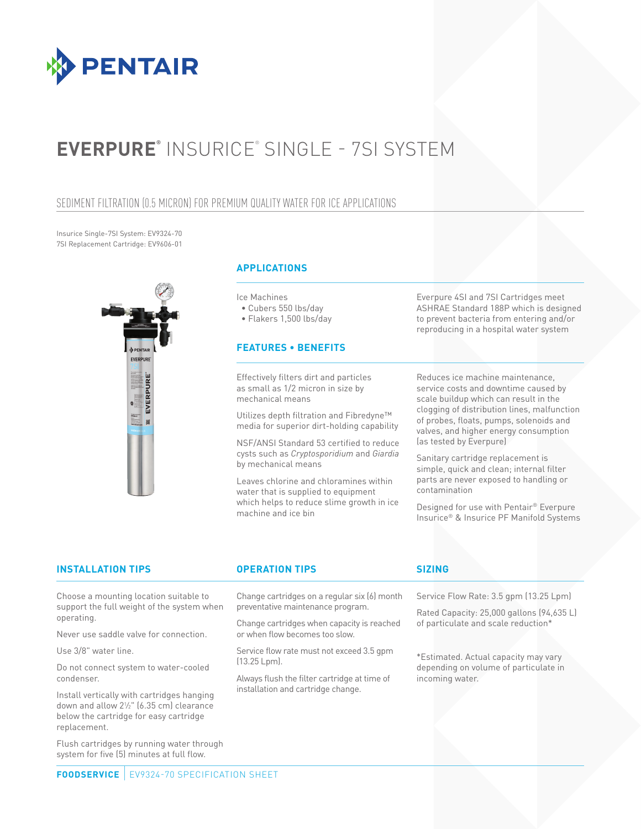

# **EVERPURE®** INSURICE® SINGLE - 7SI SYSTEM

### SEDIMENT FILTRATION (0.5 MICRON) FOR PREMIUM QUALITY WATER FOR ICE APPLICATIONS

Insurice Single-7SI System: EV9324-70 7SI Replacement Cartridge: EV9606-01



### **APPLICATIONS**

Ice Machines

• Cubers 550 lbs/day

• Flakers 1,500 lbs/day

### **FEATURES • BENEFITS**

Effectively filters dirt and particles as small as 1/2 micron in size by mechanical means

Utilizes depth filtration and Fibredyne™ media for superior dirt-holding capability

NSF/ANSI Standard 53 certified to reduce cysts such as *Cryptosporidium* and *Giardia* by mechanical means

Leaves chlorine and chloramines within water that is supplied to equipment which helps to reduce slime growth in ice machine and ice bin

Everpure 4SI and 7SI Cartridges meet ASHRAE Standard 188P which is designed to prevent bacteria from entering and/or reproducing in a hospital water system

Reduces ice machine maintenance, service costs and downtime caused by scale buildup which can result in the clogging of distribution lines, malfunction of probes, floats, pumps, solenoids and valves, and higher energy consumption (as tested by Everpure)

Sanitary cartridge replacement is simple, quick and clean; internal filter parts are never exposed to handling or contamination

Designed for use with Pentair® Everpure Insurice® & Insurice PF Manifold Systems

### **INSTALLATION TIPS OPERATION TIPS SIZING**

Choose a mounting location suitable to support the full weight of the system when operating.

Never use saddle valve for connection.

Use 3/8" water line.

Do not connect system to water-cooled condenser.

Install vertically with cartridges hanging down and allow 21 ⁄2" (6.35 cm) clearance below the cartridge for easy cartridge replacement.

Flush cartridges by running water through system for five (5) minutes at full flow.

Change cartridges on a regular six (6) month preventative maintenance program.

Change cartridges when capacity is reached or when flow becomes too slow.

Service flow rate must not exceed 3.5 gpm (13.25 Lpm).

Always flush the filter cartridge at time of installation and cartridge change.

Service Flow Rate: 3.5 gpm (13.25 Lpm)

Rated Capacity: 25,000 gallons (94,635 L) of particulate and scale reduction\*

\*Estimated. Actual capacity may vary depending on volume of particulate in incoming water.